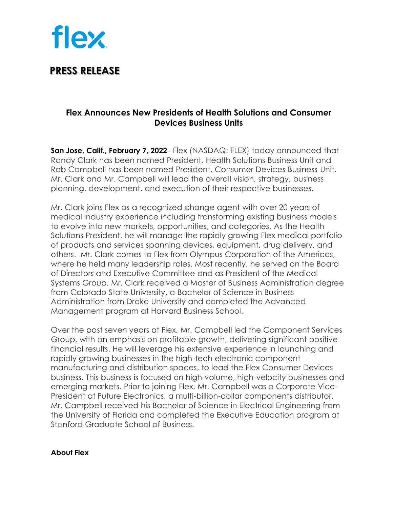

## **PRESS RELEASE**

### **Flex Announces New Presidents of Health Solutions and Consumer Devices Business Units**

**San Jose, Calif., February 7, 2022**– Flex (NASDAQ: FLEX) today announced that Randy Clark has been named President, Health Solutions Business Unit and Rob Campbell has been named President, Consumer Devices Business Unit. Mr. Clark and Mr. Campbell will lead the overall vision, strategy, business planning, development, and execution of their respective businesses.

Mr. Clark joins Flex as a recognized change agent with over 20 years of medical industry experience including transforming existing business models to evolve into new markets, opportunities, and categories. As the Health Solutions President, he will manage the rapidly growing Flex medical portfolio of products and services spanning devices, equipment, drug delivery, and others. Mr. Clark comes to Flex from Olympus Corporation of the Americas, where he held many leadership roles. Most recently, he served on the Board of Directors and Executive Committee and as President of the Medical Systems Group. Mr. Clark received a Master of Business Administration degree from Colorado State University, a Bachelor of Science in Business Administration from Drake University and completed the Advanced Management program at Harvard Business School.

Over the past seven years at Flex, Mr. Campbell led the Component Services Group, with an emphasis on profitable growth, delivering significant positive financial results. He will leverage his extensive experience in launching and rapidly growing businesses in the high-tech electronic component manufacturing and distribution spaces, to lead the Flex Consumer Devices business. This business is focused on high-volume, high-velocity businesses and emerging markets. Prior to joining Flex, Mr. Campbell was a Corporate Vice-President at Future Electronics, a multi-billion-dollar components distributor. Mr. Campbell received his Bachelor of Science in Electrical Engineering from the University of Florida and completed the Executive Education program at Stanford Graduate School of Business.

#### **About Flex**